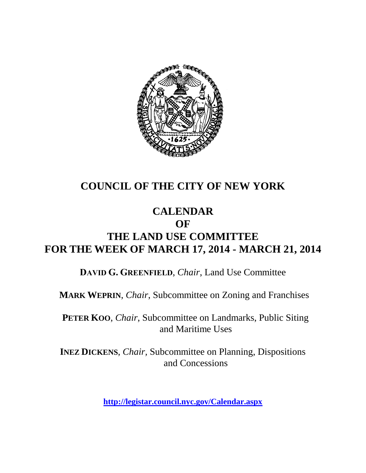

## **COUNCIL OF THE CITY OF NEW YORK**

### **CALENDAR OF**

# **THE LAND USE COMMITTEE FOR THE WEEK OF MARCH 17, 2014 - MARCH 21, 2014**

**DAVID G. GREENFIELD**, *Chair*, Land Use Committee

**MARK WEPRIN**, *Chair*, Subcommittee on Zoning and Franchises

**PETER KOO**, *Chair*, Subcommittee on Landmarks, Public Siting and Maritime Uses

**INEZ DICKENS**, *Chair,* Subcommittee on Planning, Dispositions and Concessions

**<http://legistar.council.nyc.gov/Calendar.aspx>**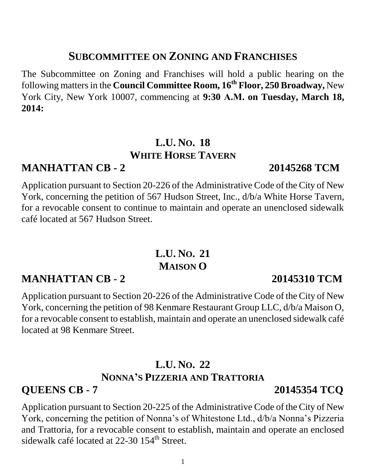## **SUBCOMMITTEE ON ZONING AND FRANCHISES**

The Subcommittee on Zoning and Franchises will hold a public hearing on the following matters in the **Council Committee Room, 16th Floor, 250 Broadway,** New York City, New York 10007, commencing at **9:30 A.M. on Tuesday, March 18, 2014:**

## **L.U. NO. 18 WHITE HORSE TAVERN**

## **MANHATTAN CB - 2 20145268 TCM**

Application pursuant to Section 20-226 of the Administrative Code of the City of New York, concerning the petition of 567 Hudson Street, Inc., d/b/a White Horse Tavern, for a revocable consent to continue to maintain and operate an unenclosed sidewalk café located at 567 Hudson Street.

## **L.U. NO. 21 MAISON O**

## **MANHATTAN CB - 2 20145310 TCM**

Application pursuant to Section 20-226 of the Administrative Code of the City of New York, concerning the petition of 98 Kenmare Restaurant Group LLC, d/b/a Maison O, for a revocable consent to establish, maintain and operate an unenclosed sidewalk café located at 98 Kenmare Street.

## **L.U. NO. 22 NONNA'S PIZZERIA AND TRATTORIA**

### **QUEENS CB - 7 20145354 TCQ**

Application pursuant to Section 20-225 of the Administrative Code of the City of New York, concerning the petition of Nonna's of Whitestone Ltd., d/b/a Nonna's Pizzeria and Trattoria, for a revocable consent to establish, maintain and operate an enclosed sidewalk café located at 22-30 154<sup>th</sup> Street.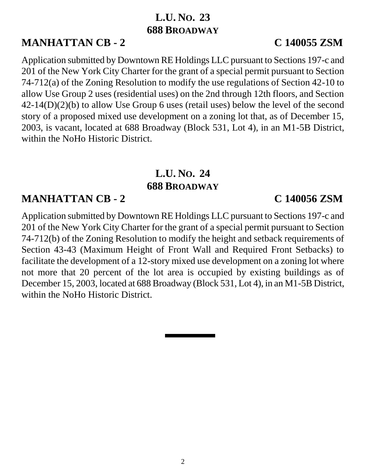## **L.U. NO. 23 688 BROADWAY**

## **MANHATTAN CB - 2 C 140055 ZSM**

Application submitted by Downtown RE Holdings LLC pursuant to Sections 197-c and 201 of the New York City Charter for the grant of a special permit pursuant to Section 74-712(a) of the Zoning Resolution to modify the use regulations of Section 42-10 to allow Use Group 2 uses (residential uses) on the 2nd through 12th floors, and Section 42-14(D)(2)(b) to allow Use Group 6 uses (retail uses) below the level of the second story of a proposed mixed use development on a zoning lot that, as of December 15, 2003, is vacant, located at 688 Broadway (Block 531, Lot 4), in an M1-5B District, within the NoHo Historic District.

## **L.U. NO. 24 688 BROADWAY**

## **MANHATTAN CB - 2 C 140056 ZSM**

Application submitted by Downtown RE Holdings LLC pursuant to Sections 197-c and 201 of the New York City Charter for the grant of a special permit pursuant to Section 74-712(b) of the Zoning Resolution to modify the height and setback requirements of Section 43-43 (Maximum Height of Front Wall and Required Front Setbacks) to facilitate the development of a 12-story mixed use development on a zoning lot where not more that 20 percent of the lot area is occupied by existing buildings as of December 15, 2003, located at 688 Broadway (Block 531, Lot 4), in an M1-5B District, within the NoHo Historic District.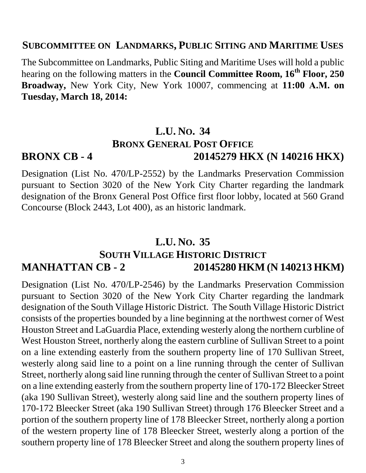#### **SUBCOMMITTEE ON LANDMARKS, PUBLIC SITING AND MARITIME USES**

The Subcommittee on Landmarks, Public Siting and Maritime Uses will hold a public hearing on the following matters in the **Council Committee Room, 16th Floor, 250 Broadway,** New York City, New York 10007, commencing at **11:00 A.M. on Tuesday, March 18, 2014:** 

## **L.U. NO. 34 BRONX GENERAL POST OFFICE BRONX CB - 4 20145279 HKX (N 140216 HKX)**

Designation (List No. 470/LP-2552) by the Landmarks Preservation Commission pursuant to Section 3020 of the New York City Charter regarding the landmark designation of the Bronx General Post Office first floor lobby, located at 560 Grand Concourse (Block 2443, Lot 400), as an historic landmark.

### **L.U. NO. 35**

## **SOUTH VILLAGE HISTORIC DISTRICT MANHATTAN CB - 2 20145280 HKM (N 140213 HKM)**

Designation (List No. 470/LP-2546) by the Landmarks Preservation Commission pursuant to Section 3020 of the New York City Charter regarding the landmark designation of the South Village Historic District. The South Village Historic District consists of the properties bounded by a line beginning at the northwest corner of West Houston Street and LaGuardia Place, extending westerly along the northern curbline of West Houston Street, northerly along the eastern curbline of Sullivan Street to a point on a line extending easterly from the southern property line of 170 Sullivan Street, westerly along said line to a point on a line running through the center of Sullivan Street, northerly along said line running through the center of Sullivan Street to a point on a line extending easterly from the southern property line of 170-172 Bleecker Street (aka 190 Sullivan Street), westerly along said line and the southern property lines of 170-172 Bleecker Street (aka 190 Sullivan Street) through 176 Bleecker Street and a portion of the southern property line of 178 Bleecker Street, northerly along a portion of the western property line of 178 Bleecker Street, westerly along a portion of the southern property line of 178 Bleecker Street and along the southern property lines of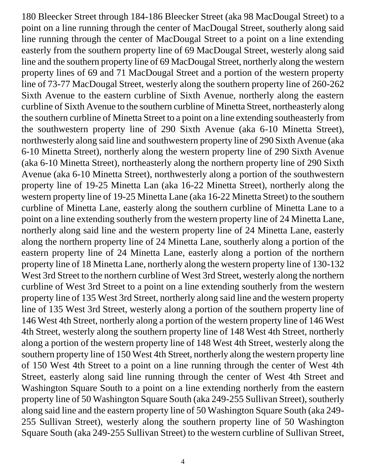180 Bleecker Street through 184-186 Bleecker Street (aka 98 MacDougal Street) to a point on a line running through the center of MacDougal Street, southerly along said line running through the center of MacDougal Street to a point on a line extending easterly from the southern property line of 69 MacDougal Street, westerly along said line and the southern property line of 69 MacDougal Street, northerly along the western property lines of 69 and 71 MacDougal Street and a portion of the western property line of 73-77 MacDougal Street, westerly along the southern property line of 260-262 Sixth Avenue to the eastern curbline of Sixth Avenue, northerly along the eastern curbline of Sixth Avenue to the southern curbline of Minetta Street, northeasterly along the southern curbline of Minetta Street to a point on a line extending southeasterly from the southwestern property line of 290 Sixth Avenue (aka 6-10 Minetta Street), northwesterly along said line and southwestern property line of 290 Sixth Avenue (aka 6-10 Minetta Street), northerly along the western property line of 290 Sixth Avenue (aka 6-10 Minetta Street), northeasterly along the northern property line of 290 Sixth Avenue (aka 6-10 Minetta Street), northwesterly along a portion of the southwestern property line of 19-25 Minetta Lan (aka 16-22 Minetta Street), northerly along the western property line of 19-25 Minetta Lane (aka 16-22 Minetta Street) to the southern curbline of Minetta Lane, easterly along the southern curbline of Minetta Lane to a point on a line extending southerly from the western property line of 24 Minetta Lane, northerly along said line and the western property line of 24 Minetta Lane, easterly along the northern property line of 24 Minetta Lane, southerly along a portion of the eastern property line of 24 Minetta Lane, easterly along a portion of the northern property line of 18 Minetta Lane, northerly along the western property line of 130-132 West 3rd Street to the northern curbline of West 3rd Street, westerly along the northern curbline of West 3rd Street to a point on a line extending southerly from the western property line of 135 West 3rd Street, northerly along said line and the western property line of 135 West 3rd Street, westerly along a portion of the southern property line of 146 West 4th Street, northerly along a portion of the western property line of 146 West 4th Street, westerly along the southern property line of 148 West 4th Street, northerly along a portion of the western property line of 148 West 4th Street, westerly along the southern property line of 150 West 4th Street, northerly along the western property line of 150 West 4th Street to a point on a line running through the center of West 4th Street, easterly along said line running through the center of West 4th Street and Washington Square South to a point on a line extending northerly from the eastern property line of 50 Washington Square South (aka 249-255 Sullivan Street), southerly along said line and the eastern property line of 50 Washington Square South (aka 249- 255 Sullivan Street), westerly along the southern property line of 50 Washington Square South (aka 249-255 Sullivan Street) to the western curbline of Sullivan Street,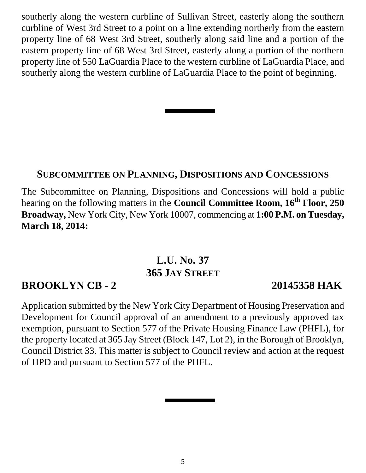southerly along the western curbline of Sullivan Street, easterly along the southern curbline of West 3rd Street to a point on a line extending northerly from the eastern property line of 68 West 3rd Street, southerly along said line and a portion of the eastern property line of 68 West 3rd Street, easterly along a portion of the northern property line of 550 LaGuardia Place to the western curbline of LaGuardia Place, and southerly along the western curbline of LaGuardia Place to the point of beginning.

### **SUBCOMMITTEE ON PLANNING, DISPOSITIONS AND CONCESSIONS**

The Subcommittee on Planning, Dispositions and Concessions will hold a public hearing on the following matters in the **Council Committee Room, 16th Floor, 250 Broadway,** New York City, New York 10007, commencing at **1:00 P.M. on Tuesday, March 18, 2014:**

## **L.U. No. 37 365 JAY STREET**

### **BROOKLYN CB - 2 20145358 HAK**

Application submitted by the New York City Department of Housing Preservation and Development for Council approval of an amendment to a previously approved tax exemption, pursuant to Section 577 of the Private Housing Finance Law (PHFL), for the property located at 365 Jay Street (Block 147, Lot 2), in the Borough of Brooklyn, Council District 33. This matter is subject to Council review and action at the request of HPD and pursuant to Section 577 of the PHFL.